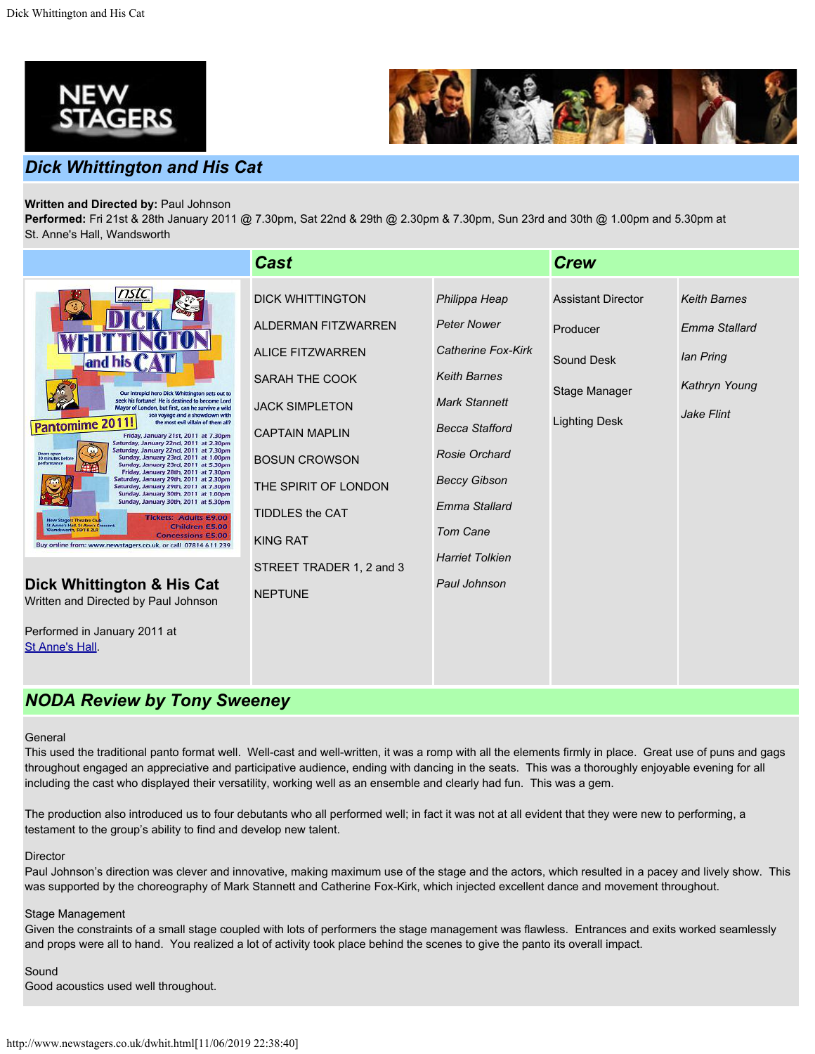



## *Dick Whittington and His Cat*

## **Written and Directed by:** Paul Johnson

**Performed:** Fri 21st & 28th January 2011 @ 7.30pm, Sat 22nd & 29th @ 2.30pm & 7.30pm, Sun 23rd and 30th @ 1.00pm and 5.30pm at St. Anne's Hall, Wandsworth

|                                                                                                                                                                                                                                                                                                                                                                                                                                                                                                                                                                                                                                                                                                                                                                                                                                                                                                                                                                                | <b>Cast</b>                                                                                                                                                                                                                                |                                                                                                                                                                                                                                                | <b>Crew</b>                                                                                         |                                                                                  |
|--------------------------------------------------------------------------------------------------------------------------------------------------------------------------------------------------------------------------------------------------------------------------------------------------------------------------------------------------------------------------------------------------------------------------------------------------------------------------------------------------------------------------------------------------------------------------------------------------------------------------------------------------------------------------------------------------------------------------------------------------------------------------------------------------------------------------------------------------------------------------------------------------------------------------------------------------------------------------------|--------------------------------------------------------------------------------------------------------------------------------------------------------------------------------------------------------------------------------------------|------------------------------------------------------------------------------------------------------------------------------------------------------------------------------------------------------------------------------------------------|-----------------------------------------------------------------------------------------------------|----------------------------------------------------------------------------------|
| nstc<br>and his<br>Our intrepid hero Dick Whittington sets out to<br>seek his fortune! He is destined to become Lord<br>Mayor of London, but first, can he survive a wild<br>sea voyage and a showdown with<br>Pantomime 2011!<br>the most evil villain of them all?<br>Friday, January 21st, 2011 at 7.30pm<br>Saturday, January 22nd, 2011 at 2.30pm<br>Saturday, January 22nd, 2011 at 7.30pm<br>Doors open<br>30 minutes before<br>Sunday, January 23rd, 2011 at 1.00pm<br>Sunday, January 23rd, 2011 at 5.30pm<br>Friday, January 28th, 2011 at 7.30pm<br>Saturday, January 29th, 2011 at 2.30pm<br>Saturday, January 29th, 2011 at 7.30pm<br>Sunday, January 30th, 2011 at 1.00pm<br>Sunday, January 30th, 2011 at 5.30pm<br><b>Tickets: Adults £9.00</b><br><b>New Stagers Theatre Club</b><br>St Anne's Hall, St Ann's Crescent,<br>Children £5.00<br>Wandsworth, SW18 2LR<br><b>Concessions £5.00</b><br>Buy online from: www.newstagers.co.uk, or call 07814 611 239 | <b>DICK WHITTINGTON</b><br><b>ALDERMAN FITZWARREN</b><br><b>ALICE FITZWARREN</b><br>SARAH THE COOK<br><b>JACK SIMPLETON</b><br><b>CAPTAIN MAPLIN</b><br><b>BOSUN CROWSON</b><br>THE SPIRIT OF LONDON<br>TIDDLES the CAT<br><b>KING RAT</b> | Philippa Heap<br><b>Peter Nower</b><br>Catherine Fox-Kirk<br><b>Keith Barnes</b><br><b>Mark Stannett</b><br><b>Becca Stafford</b><br>Rosie Orchard<br><b>Beccy Gibson</b><br><b>Emma Stallard</b><br><b>Tom Cane</b><br><b>Harriet Tolkien</b> | <b>Assistant Director</b><br>Producer<br><b>Sound Desk</b><br>Stage Manager<br><b>Lighting Desk</b> | <b>Keith Barnes</b><br>Emma Stallard<br>lan Pring<br>Kathryn Young<br>Jake Flint |
| Dick Whittington & His Cat<br>Written and Directed by Paul Johnson<br>Performed in January 2011 at                                                                                                                                                                                                                                                                                                                                                                                                                                                                                                                                                                                                                                                                                                                                                                                                                                                                             | STREET TRADER 1, 2 and 3<br><b>NEPTUNE</b>                                                                                                                                                                                                 | Paul Johnson                                                                                                                                                                                                                                   |                                                                                                     |                                                                                  |

# *NODA Review by Tony Sweeney*

#### **General**

[St Anne's Hall](http://www.newstagers.co.uk/directions.html).

This used the traditional panto format well. Well-cast and well-written, it was a romp with all the elements firmly in place. Great use of puns and gags throughout engaged an appreciative and participative audience, ending with dancing in the seats. This was a thoroughly enjoyable evening for all including the cast who displayed their versatility, working well as an ensemble and clearly had fun. This was a gem.

The production also introduced us to four debutants who all performed well; in fact it was not at all evident that they were new to performing, a testament to the group's ability to find and develop new talent.

## **Director**

Paul Johnson's direction was clever and innovative, making maximum use of the stage and the actors, which resulted in a pacey and lively show. This was supported by the choreography of Mark Stannett and Catherine Fox-Kirk, which injected excellent dance and movement throughout.

## Stage Management

Given the constraints of a small stage coupled with lots of performers the stage management was flawless. Entrances and exits worked seamlessly and props were all to hand. You realized a lot of activity took place behind the scenes to give the panto its overall impact.

Sound

Good acoustics used well throughout.